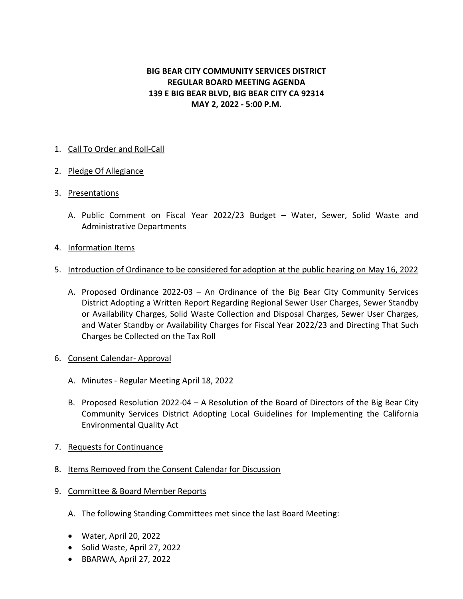# **BIG BEAR CITY COMMUNITY SERVICES DISTRICT REGULAR BOARD MEETING AGENDA 139 E BIG BEAR BLVD, BIG BEAR CITY CA 92314 MAY 2, 2022 - 5:00 P.M.**

## 1. Call To Order and Roll-Call

### 2. Pledge Of Allegiance

### 3. Presentations

A. Public Comment on Fiscal Year 2022/23 Budget – Water, Sewer, Solid Waste and Administrative Departments

### 4. Information Items

- 5. Introduction of Ordinance to be considered for adoption at the public hearing on May 16, 2022
	- A. Proposed Ordinance 2022-03 An Ordinance of the Big Bear City Community Services District Adopting a Written Report Regarding Regional Sewer User Charges, Sewer Standby or Availability Charges, Solid Waste Collection and Disposal Charges, Sewer User Charges, and Water Standby or Availability Charges for Fiscal Year 2022/23 and Directing That Such Charges be Collected on the Tax Roll
- 6. Consent Calendar- Approval
	- A. Minutes Regular Meeting April 18, 2022
	- B. Proposed Resolution 2022-04 A Resolution of the Board of Directors of the Big Bear City Community Services District Adopting Local Guidelines for Implementing the California Environmental Quality Act
- 7. Requests for Continuance
- 8. Items Removed from the Consent Calendar for Discussion
- 9. Committee & Board Member Reports
	- A. The following Standing Committees met since the last Board Meeting:
	- Water, April 20, 2022
	- Solid Waste, April 27, 2022
	- BBARWA, April 27, 2022